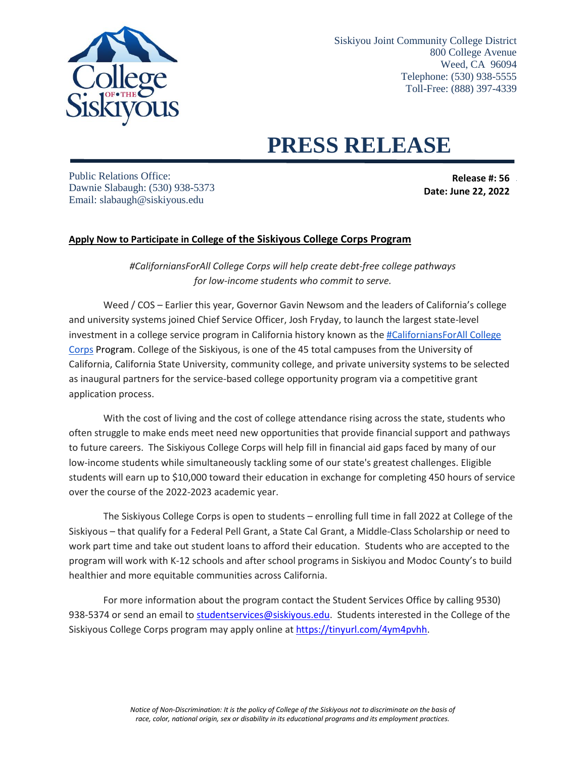

## **PRESS RELEASE**

Public Relations Office: Dawnie Slabaugh: (530) 938-5373 Email: slabaugh@siskiyous.edu

**Release #: 56 Date: June 22, 2022** 

## **Apply Now to Participate in College of the Siskiyous College Corps Program**

*#CaliforniansForAll College Corps will help create debt-free college pathways for low-income students who commit to serve.*

Weed / COS – Earlier this year, Governor Gavin Newsom and the leaders of California's college and university systems joined Chief Service Officer, Josh Fryday, to launch the largest state-level investment in a college service program in California history known as the [#CaliforniansForAll College](https://www.californiavolunteers.ca.gov/californiansforall-college-fellowship/)  Corps Program. College of the Siskiyous, is one of the 45 total campuses from the University of California, California State University, community college, and private university systems to be selected as inaugural partners for the service-based college opportunity program via a competitive grant application process.

With the cost of living and the cost of college attendance rising across the state, students who often struggle to make ends meet need new opportunities that provide financial support and pathways to future careers. The Siskiyous College Corps will help fill in financial aid gaps faced by many of our low-income students while simultaneously tackling some of our state's greatest challenges. Eligible students will earn up to \$10,000 toward their education in exchange for completing 450 hours of service over the course of the 2022-2023 academic year.

The Siskiyous College Corps is open to students – enrolling full time in fall 2022 at College of the Siskiyous – that qualify for a Federal Pell Grant, a State Cal Grant, a Middle-Class Scholarship or need to work part time and take out student loans to afford their education. Students who are accepted to the program will work with K-12 schools and after school programs in Siskiyou and Modoc County's to build healthier and more equitable communities across California.

For more information about the program contact the Student Services Office by calling 9530) 938-5374 or send an email to [studentservices@siskiyous.edu.](mailto:studentservices@siskiyous.edu) Students interested in the College of the Siskiyous College Corps program may apply online at <https://tinyurl.com/4ym4pvhh>.